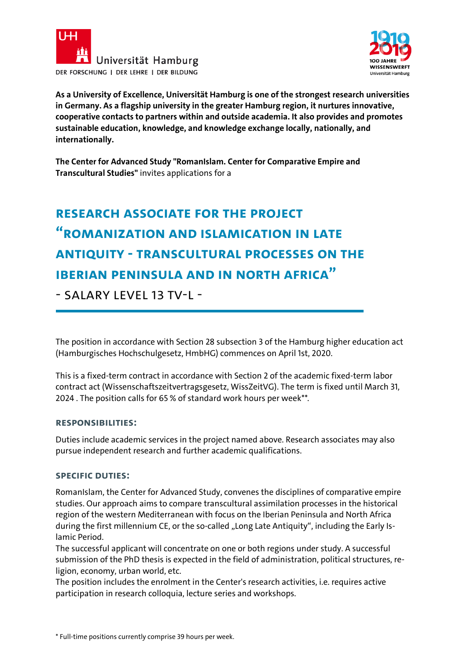



**As a University of Excellence, Universität Hamburg is one of the strongest research universities in Germany. As a flagship university in the greater Hamburg region, it nurtures innovative, cooperative contacts to partners within and outside academia. It also provides and promotes sustainable education, knowledge, and knowledge exchange locally, nationally, and internationally.**

**The Center for Advanced Study "RomanIslam. Center for Comparative Empire and Transcultural Studies"** invites applications for a

# **RESEARCH ASSOCIATE FOR THE PROJECT "Romanization and Islamication in Late Antiquity - Transcultural Processes on the Iberian Peninsula and in North Africa"**

- SALARY LEVEL 13 TV-I -

The position in accordance with Section 28 subsection 3 of the Hamburg higher education act (Hamburgisches Hochschulgesetz, HmbHG) commences on April 1st, 2020.

This is a fixed-term contract in accordance with Section 2 of the academic fixed-term labor contract act (Wissenschaftszeitvertragsgesetz, WissZeitVG). The term is fixed until March 31, 2024 . The position calls for 65 % of standard work hours per week\*\*.

## **Responsibilities:**

Duties include academic services in the project named above. Research associates may also pursue independent research and further academic qualifications.

## **Specific Duties:**

RomanIslam, the Center for Advanced Study, convenes the disciplines of comparative empire studies. Our approach aims to compare transcultural assimilation processes in the historical region of the western Mediterranean with focus on the Iberian Peninsula and North Africa during the first millennium CE, or the so-called "Long Late Antiquity", including the Early Islamic Period.

The successful applicant will concentrate on one or both regions under study. A successful submission of the PhD thesis is expected in the field of administration, political structures, religion, economy, urban world, etc.

The position includes the enrolment in the Center's research activities, i.e. requires active participation in research colloquia, lecture series and workshops.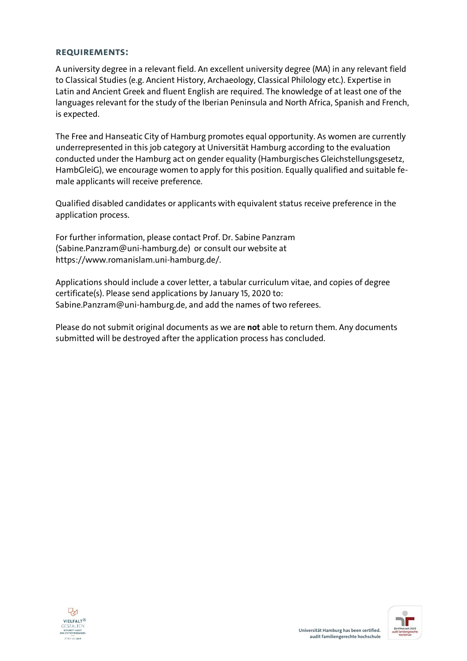### **Requirements:**

A university degree in a relevant field. An excellent university degree (MA) in any relevant field to Classical Studies (e.g. Ancient History, Archaeology, Classical Philology etc.). Expertise in Latin and Ancient Greek and fluent English are required. The knowledge of at least one of the languages relevant for the study of the Iberian Peninsula and North Africa, Spanish and French, is expected.

The Free and Hanseatic City of Hamburg promotes equal opportunity. As women are currently underrepresented in this job category at Universität Hamburg according to the evaluation conducted under the Hamburg act on gender equality (Hamburgisches Gleichstellungsgesetz, HambGleiG), we encourage women to apply for this position. Equally qualified and suitable female applicants will receive preference.

Qualified disabled candidates or applicants with equivalent status receive preference in the application process.

For further information, please contact Prof. Dr. Sabine Panzram (Sabine.Panzram@uni-hamburg.de) or consult our website at https://www.romanislam.uni-hamburg.de/.

Applications should include a cover letter, a tabular curriculum vitae, and copies of degree certificate(s). Please send applications by January 15, 2020 to: Sabine.Panzram@uni-hamburg.de, and add the names of two referees.

Please do not submit original documents as we are **not** able to return them. Any documents submitted will be destroyed after the application process has concluded.



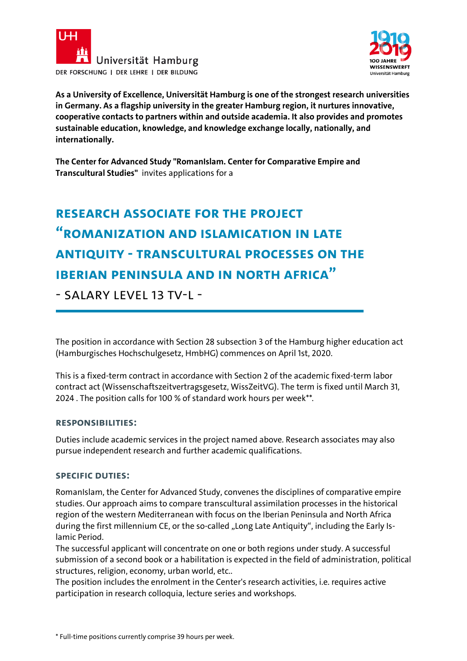



**As a University of Excellence, Universität Hamburg is one of the strongest research universities in Germany. As a flagship university in the greater Hamburg region, it nurtures innovative, cooperative contacts to partners within and outside academia. It also provides and promotes sustainable education, knowledge, and knowledge exchange locally, nationally, and internationally.**

**The Center for Advanced Study "RomanIslam. Center for Comparative Empire and Transcultural Studies"** invites applications for a

# **RESEARCH ASSOCIATE FOR THE PROJECT "Romanization and Islamication in Late Antiquity - Transcultural Processes on the Iberian Peninsula and in North Africa"**

- SALARY LEVEL 13 TV-I -

The position in accordance with Section 28 subsection 3 of the Hamburg higher education act (Hamburgisches Hochschulgesetz, HmbHG) commences on April 1st, 2020.

This is a fixed-term contract in accordance with Section 2 of the academic fixed-term labor contract act (Wissenschaftszeitvertragsgesetz, WissZeitVG). The term is fixed until March 31, 2024 . The position calls for 100 % of standard work hours per week\*\*.

## **Responsibilities:**

Duties include academic services in the project named above. Research associates may also pursue independent research and further academic qualifications.

## **Specific Duties:**

RomanIslam, the Center for Advanced Study, convenes the disciplines of comparative empire studies. Our approach aims to compare transcultural assimilation processes in the historical region of the western Mediterranean with focus on the Iberian Peninsula and North Africa during the first millennium CE, or the so-called "Long Late Antiquity", including the Early Islamic Period.

The successful applicant will concentrate on one or both regions under study. A successful submission of a second book or a habilitation is expected in the field of administration, political structures, religion, economy, urban world, etc..

The position includes the enrolment in the Center's research activities, i.e. requires active participation in research colloquia, lecture series and workshops.